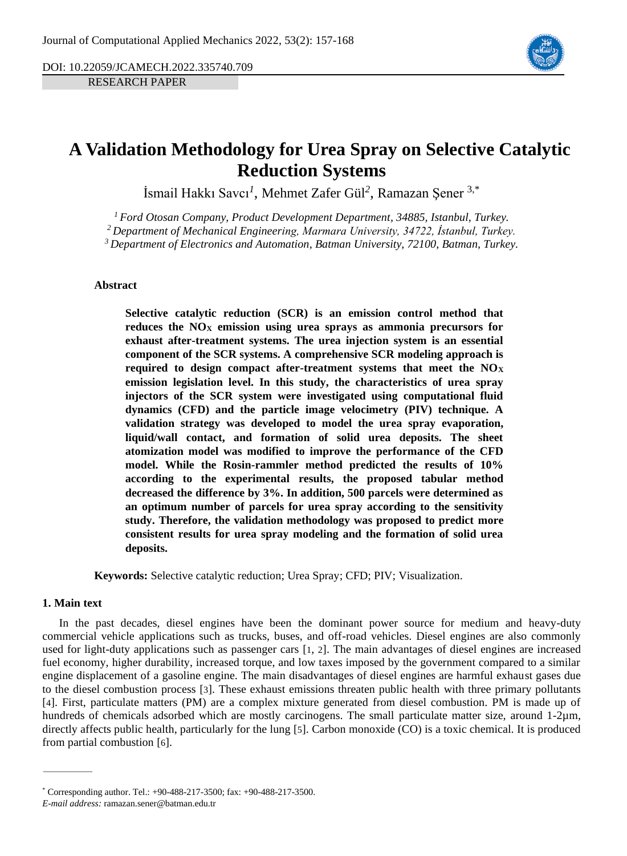DOI: 10.22059/JCAMECH.2022.335740.709

RESEARCH PAPER



# **A Validation Methodology for Urea Spray on Selective Catalytic Reduction Systems**

İsmail Hakkı Savcı*<sup>1</sup>* , Mehmet Zafer Gül*<sup>2</sup>* , Ramazan Şener 3,\*

*<sup>1</sup> Ford Otosan Company, Product Development Department, 34885, Istanbul, Turkey.*

*<sup>2</sup> Department of Mechanical Engineering, Marmara University, 34722, İstanbul, Turkey.*

*<sup>3</sup> Department of Electronics and Automation, Batman University, 72100, Batman, Turkey.*

#### **Abstract**

**Selective catalytic reduction (SCR) is an emission control method that reduces the NO<sup>X</sup> emission using urea sprays as ammonia precursors for exhaust after-treatment systems. The urea injection system is an essential component of the SCR systems. A comprehensive SCR modeling approach is required to design compact after-treatment systems that meet the NO<sup>X</sup> emission legislation level. In this study, the characteristics of urea spray injectors of the SCR system were investigated using computational fluid dynamics (CFD) and the particle image velocimetry (PIV) technique. A validation strategy was developed to model the urea spray evaporation, liquid/wall contact, and formation of solid urea deposits. The sheet atomization model was modified to improve the performance of the CFD model. While the Rosin-rammler method predicted the results of 10% according to the experimental results, the proposed tabular method decreased the difference by 3%. In addition, 500 parcels were determined as an optimum number of parcels for urea spray according to the sensitivity study. Therefore, the validation methodology was proposed to predict more consistent results for urea spray modeling and the formation of solid urea deposits.**

**Keywords:** Selective catalytic reduction; Urea Spray; CFD; PIV; Visualization.

### **1. Main text**

In the past decades, diesel engines have been the dominant power source for medium and heavy-duty commercial vehicle applications such as trucks, buses, and off-road vehicles. Diesel engines are also commonly used for light-duty applications such as passenger cars [[1](#page-10-0), [2](#page-10-1)]. The main advantages of diesel engines are increased fuel economy, higher durability, increased torque, and low taxes imposed by the government compared to a similar engine displacement of a gasoline engine. The main disadvantages of diesel engines are harmful exhaust gases due to the diesel combustion process [[3](#page-10-2)]. These exhaust emissions threaten public health with three primary pollutants [[4](#page-10-3)]. First, particulate matters (PM) are a complex mixture generated from diesel combustion. PM is made up of hundreds of chemicals adsorbed which are mostly carcinogens. The small particulate matter size, around 1-2µm, directly affects public health, particularly for the lung [[5](#page-10-4)]. Carbon monoxide (CO) is a toxic chemical. It is produced from partial combustion [[6](#page-10-5)].

<sup>\*</sup> Corresponding author. Tel.: +90-488-217-3500; fax: +90-488-217-3500.

*E-mail address:* ramazan.sener@batman.edu.tr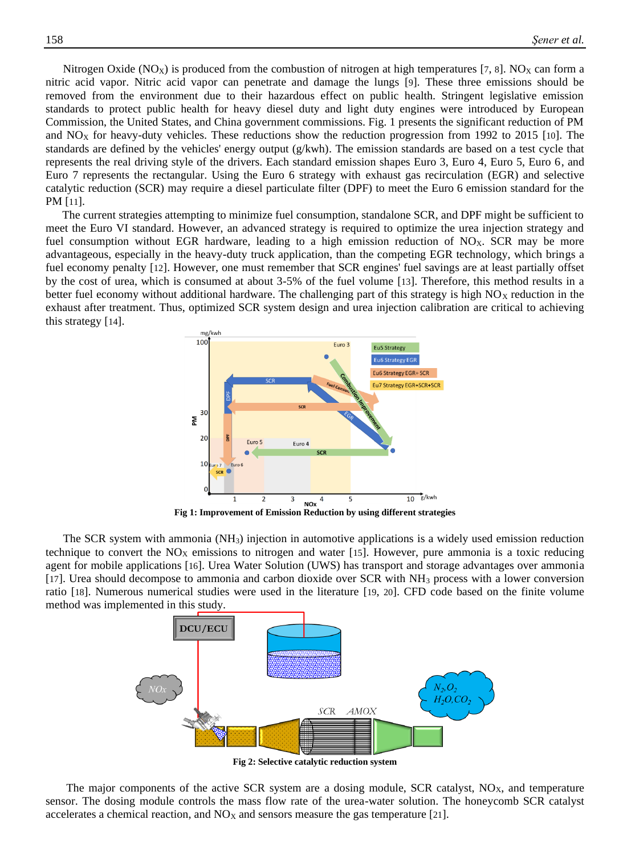Nitrogen Oxide (NO<sub>X</sub>) is produced from the combustion of nitrogen at high temperatures [[7](#page-10-6), [8](#page-10-7)]. NO<sub>X</sub> can form a nitric acid vapor. Nitric acid vapor can penetrate and damage the lungs [[9](#page-10-8)]. These three emissions should be removed from the environment due to their hazardous effect on public health. Stringent legislative emission standards to protect public health for heavy diesel duty and light duty engines were introduced by European Commission, the United States, and China government commissions. Fig. 1 presents the significant reduction of PM and  $NO<sub>X</sub>$  for heavy-duty vehicles. These reductions show the reduction progression from 1992 to 2015 [[10](#page-10-9)]. The standards are defined by the vehicles' energy output (g/kwh). The emission standards are based on a test cycle that represents the real driving style of the drivers. Each standard emission shapes Euro 3, Euro 4, Euro 5, Euro 6, and Euro 7 represents the rectangular. Using the Euro 6 strategy with exhaust gas recirculation (EGR) and selective catalytic reduction (SCR) may require a diesel particulate filter (DPF) to meet the Euro 6 emission standard for the PM [[11](#page-10-10)].

The current strategies attempting to minimize fuel consumption, standalone SCR, and DPF might be sufficient to meet the Euro VI standard. However, an advanced strategy is required to optimize the urea injection strategy and fuel consumption without EGR hardware, leading to a high emission reduction of  $NO<sub>X</sub>$ . SCR may be more advantageous, especially in the heavy-duty truck application, than the competing EGR technology, which brings a fuel economy penalty [[12](#page-10-11)]. However, one must remember that SCR engines' fuel savings are at least partially offset by the cost of urea, which is consumed at about 3-5% of the fuel volume [[13](#page-10-12)]. Therefore, this method results in a better fuel economy without additional hardware. The challenging part of this strategy is high  $NO<sub>X</sub>$  reduction in the exhaust after treatment. Thus, optimized SCR system design and urea injection calibration are critical to achieving this strategy [[14](#page-10-13)].



**Fig 1: Improvement of Emission Reduction by using different strategies**

The SCR system with ammonia  $(NH_3)$  injection in automotive applications is a widely used emission reduction technique to convert the  $NO<sub>X</sub>$  emissions to nitrogen and water [[15](#page-10-14)]. However, pure ammonia is a toxic reducing agent for mobile applications [[16](#page-11-0)]. Urea Water Solution (UWS) has transport and storage advantages over ammonia [[17](#page-11-1)]. Urea should decompose to ammonia and carbon dioxide over SCR with NH<sup>3</sup> process with a lower conversion ratio [[18](#page-11-2)]. Numerous numerical studies were used in the literature [[19](#page-11-3), [20](#page-11-4)]. CFD code based on the finite volume method was implemented in this study.



**Fig 2: Selective catalytic reduction system**

The major components of the active SCR system are a dosing module, SCR catalyst,  $NO<sub>X</sub>$ , and temperature sensor. The dosing module controls the mass flow rate of the urea-water solution. The honeycomb SCR catalyst accelerates a chemical reaction, and  $NO<sub>X</sub>$  and sensors measure the gas temperature [[21](#page-11-5)].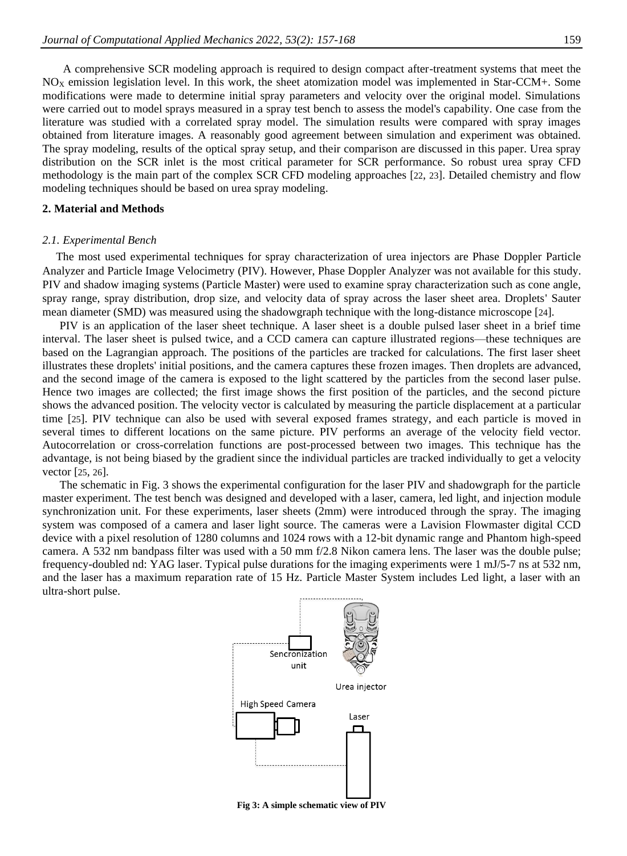A comprehensive SCR modeling approach is required to design compact after-treatment systems that meet the  $NO<sub>X</sub>$  emission legislation level. In this work, the sheet atomization model was implemented in Star-CCM+. Some modifications were made to determine initial spray parameters and velocity over the original model. Simulations were carried out to model sprays measured in a spray test bench to assess the model's capability. One case from the literature was studied with a correlated spray model. The simulation results were compared with spray images obtained from literature images. A reasonably good agreement between simulation and experiment was obtained. The spray modeling, results of the optical spray setup, and their comparison are discussed in this paper. Urea spray distribution on the SCR inlet is the most critical parameter for SCR performance. So robust urea spray CFD methodology is the main part of the complex SCR CFD modeling approaches [[22](#page-11-6), [23](#page-11-7)]. Detailed chemistry and flow modeling techniques should be based on urea spray modeling.

#### **2. Material and Methods**

#### *2.1. Experimental Bench*

The most used experimental techniques for spray characterization of urea injectors are Phase Doppler Particle Analyzer and Particle Image Velocimetry (PIV). However, Phase Doppler Analyzer was not available for this study. PIV and shadow imaging systems (Particle Master) were used to examine spray characterization such as cone angle, spray range, spray distribution, drop size, and velocity data of spray across the laser sheet area. Droplets' Sauter mean diameter (SMD) was measured using the shadowgraph technique with the long-distance microscope [[24](#page-11-8)].

PIV is an application of the laser sheet technique. A laser sheet is a double pulsed laser sheet in a brief time interval. The laser sheet is pulsed twice, and a CCD camera can capture illustrated regions—these techniques are based on the Lagrangian approach. The positions of the particles are tracked for calculations. The first laser sheet illustrates these droplets' initial positions, and the camera captures these frozen images. Then droplets are advanced, and the second image of the camera is exposed to the light scattered by the particles from the second laser pulse. Hence two images are collected; the first image shows the first position of the particles, and the second picture shows the advanced position. The velocity vector is calculated by measuring the particle displacement at a particular time [[25](#page-11-9)]. PIV technique can also be used with several exposed frames strategy, and each particle is moved in several times to different locations on the same picture. PIV performs an average of the velocity field vector. Autocorrelation or cross-correlation functions are post-processed between two images. This technique has the advantage, is not being biased by the gradient since the individual particles are tracked individually to get a velocity vector [[25](#page-11-9), [26](#page-11-10)].

The schematic in Fig. 3 shows the experimental configuration for the laser PIV and shadowgraph for the particle master experiment. The test bench was designed and developed with a laser, camera, led light, and injection module synchronization unit. For these experiments, laser sheets (2mm) were introduced through the spray. The imaging system was composed of a camera and laser light source. The cameras were a Lavision Flowmaster digital CCD device with a pixel resolution of 1280 columns and 1024 rows with a 12-bit dynamic range and Phantom high-speed camera. A 532 nm bandpass filter was used with a 50 mm f/2.8 Nikon camera lens. The laser was the double pulse; frequency-doubled nd: YAG laser. Typical pulse durations for the imaging experiments were 1 mJ/5-7 ns at 532 nm, and the laser has a maximum reparation rate of 15 Hz. Particle Master System includes Led light, a laser with an ultra-short pulse.



**Fig 3: A simple schematic view of PIV**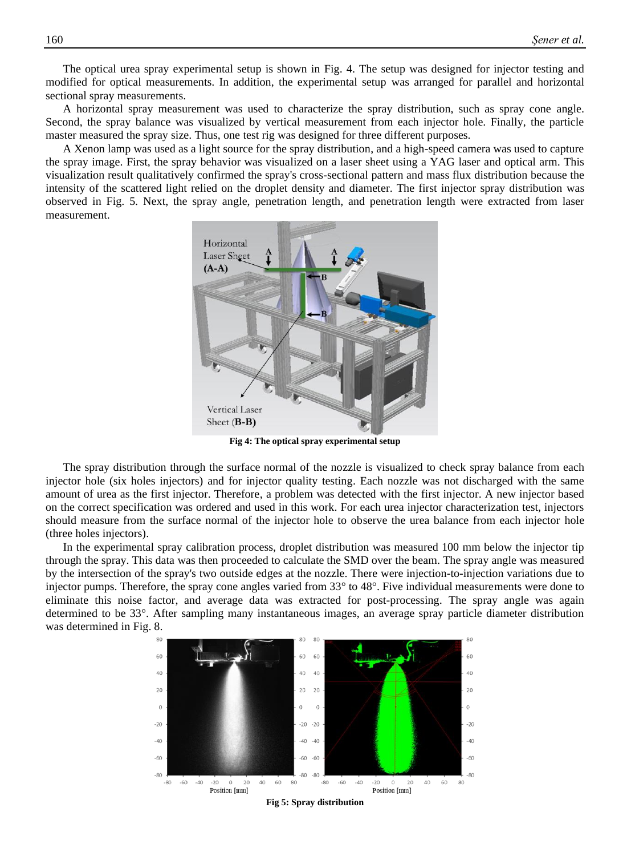The optical urea spray experimental setup is shown in Fig. 4. The setup was designed for injector testing and modified for optical measurements. In addition, the experimental setup was arranged for parallel and horizontal sectional spray measurements.

A horizontal spray measurement was used to characterize the spray distribution, such as spray cone angle. Second, the spray balance was visualized by vertical measurement from each injector hole. Finally, the particle master measured the spray size. Thus, one test rig was designed for three different purposes.

A Xenon lamp was used as a light source for the spray distribution, and a high-speed camera was used to capture the spray image. First, the spray behavior was visualized on a laser sheet using a YAG laser and optical arm. This visualization result qualitatively confirmed the spray's cross-sectional pattern and mass flux distribution because the intensity of the scattered light relied on the droplet density and diameter. The first injector spray distribution was observed in Fig. 5. Next, the spray angle, penetration length, and penetration length were extracted from laser measurement.



**Fig 4: The optical spray experimental setup**

The spray distribution through the surface normal of the nozzle is visualized to check spray balance from each injector hole (six holes injectors) and for injector quality testing. Each nozzle was not discharged with the same amount of urea as the first injector. Therefore, a problem was detected with the first injector. A new injector based on the correct specification was ordered and used in this work. For each urea injector characterization test, injectors should measure from the surface normal of the injector hole to observe the urea balance from each injector hole (three holes injectors).

In the experimental spray calibration process, droplet distribution was measured 100 mm below the injector tip through the spray. This data was then proceeded to calculate the SMD over the beam. The spray angle was measured by the intersection of the spray's two outside edges at the nozzle. There were injection-to-injection variations due to injector pumps. Therefore, the spray cone angles varied from 33° to 48°. Five individual measurements were done to eliminate this noise factor, and average data was extracted for post-processing. The spray angle was again determined to be 33°. After sampling many instantaneous images, an average spray particle diameter distribution was determined in Fig. 8.



**Fig 5: Spray distribution**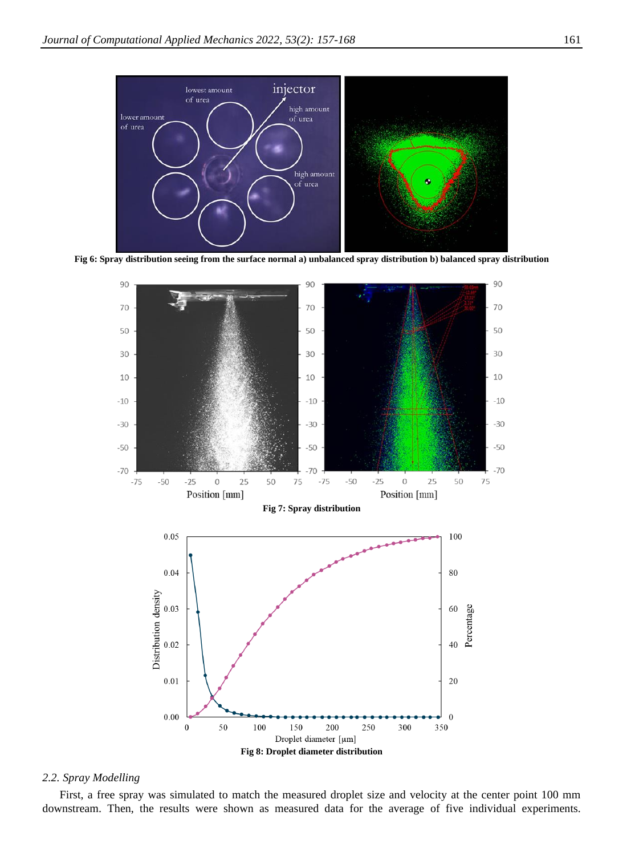

**Fig 6: Spray distribution seeing from the surface normal a) unbalanced spray distribution b) balanced spray distribution**



#### *2.2. Spray Modelling*

First, a free spray was simulated to match the measured droplet size and velocity at the center point 100 mm downstream. Then, the results were shown as measured data for the average of five individual experiments.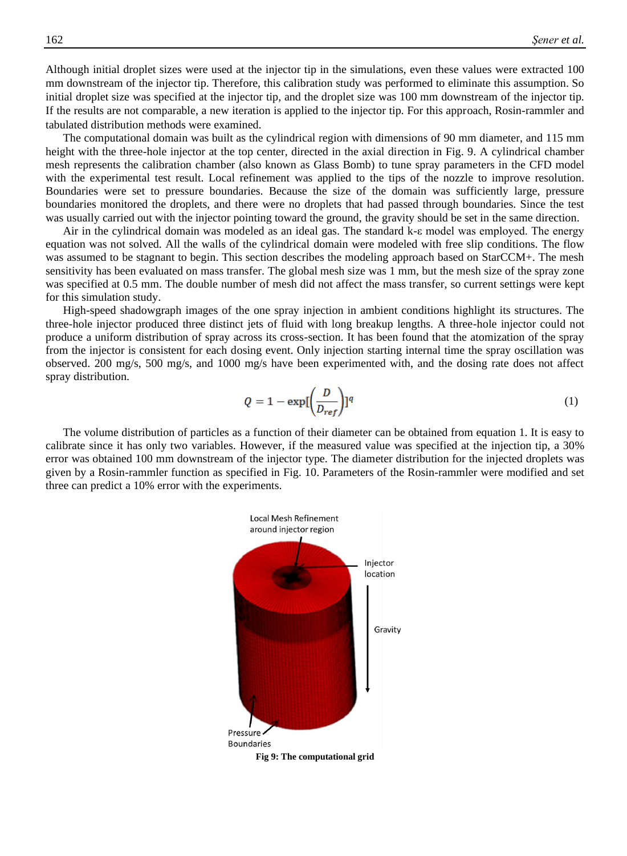Although initial droplet sizes were used at the injector tip in the simulations, even these values were extracted 100 mm downstream of the injector tip. Therefore, this calibration study was performed to eliminate this assumption. So initial droplet size was specified at the injector tip, and the droplet size was 100 mm downstream of the injector tip. If the results are not comparable, a new iteration is applied to the injector tip. For this approach, Rosin-rammler and tabulated distribution methods were examined.

The computational domain was built as the cylindrical region with dimensions of 90 mm diameter, and 115 mm height with the three-hole injector at the top center, directed in the axial direction in Fig. 9. A cylindrical chamber mesh represents the calibration chamber (also known as Glass Bomb) to tune spray parameters in the CFD model with the experimental test result. Local refinement was applied to the tips of the nozzle to improve resolution. Boundaries were set to pressure boundaries. Because the size of the domain was sufficiently large, pressure boundaries monitored the droplets, and there were no droplets that had passed through boundaries. Since the test was usually carried out with the injector pointing toward the ground, the gravity should be set in the same direction.

Air in the cylindrical domain was modeled as an ideal gas. The standard k-ε model was employed. The energy equation was not solved. All the walls of the cylindrical domain were modeled with free slip conditions. The flow was assumed to be stagnant to begin. This section describes the modeling approach based on StarCCM+. The mesh sensitivity has been evaluated on mass transfer. The global mesh size was 1 mm, but the mesh size of the spray zone was specified at 0.5 mm. The double number of mesh did not affect the mass transfer, so current settings were kept for this simulation study.

High-speed shadowgraph images of the one spray injection in ambient conditions highlight its structures. The three-hole injector produced three distinct jets of fluid with long breakup lengths. A three-hole injector could not produce a uniform distribution of spray across its cross-section. It has been found that the atomization of the spray from the injector is consistent for each dosing event. Only injection starting internal time the spray oscillation was observed. 200 mg/s, 500 mg/s, and 1000 mg/s have been experimented with, and the dosing rate does not affect spray distribution.

$$
Q = 1 - \exp\left(\frac{D}{D_{ref}}\right)l^{q}
$$
 (1)

The volume distribution of particles as a function of their diameter can be obtained from equation 1. It is easy to calibrate since it has only two variables. However, if the measured value was specified at the injection tip, a 30% error was obtained 100 mm downstream of the injector type. The diameter distribution for the injected droplets was given by a Rosin-rammler function as specified in Fig. 10. Parameters of the Rosin-rammler were modified and set three can predict a 10% error with the experiments.



**Fig 9: The computational grid**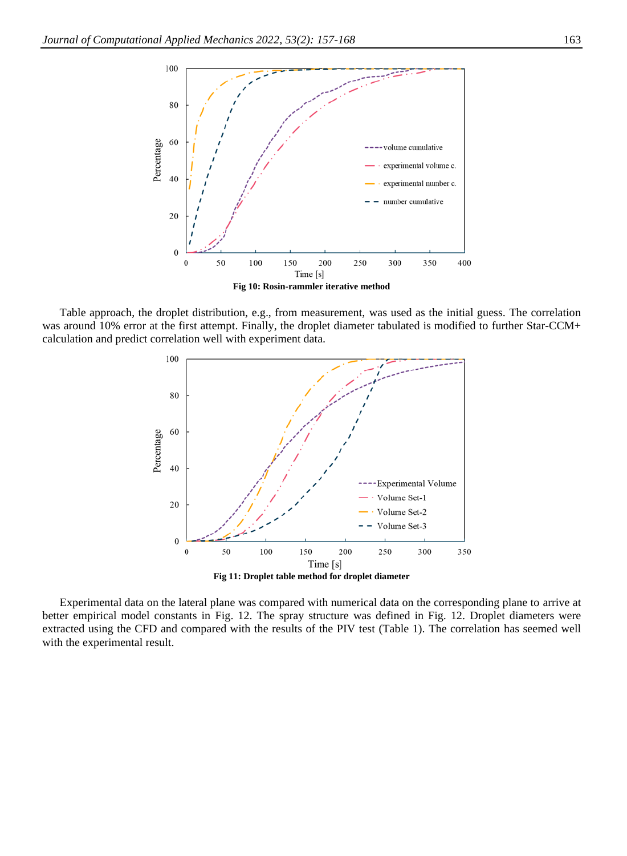

Table approach, the droplet distribution, e.g., from measurement, was used as the initial guess. The correlation was around 10% error at the first attempt. Finally, the droplet diameter tabulated is modified to further Star-CCM+ calculation and predict correlation well with experiment data.



Experimental data on the lateral plane was compared with numerical data on the corresponding plane to arrive at better empirical model constants in Fig. 12. The spray structure was defined in Fig. 12. Droplet diameters were extracted using the CFD and compared with the results of the PIV test (Table 1). The correlation has seemed well with the experimental result.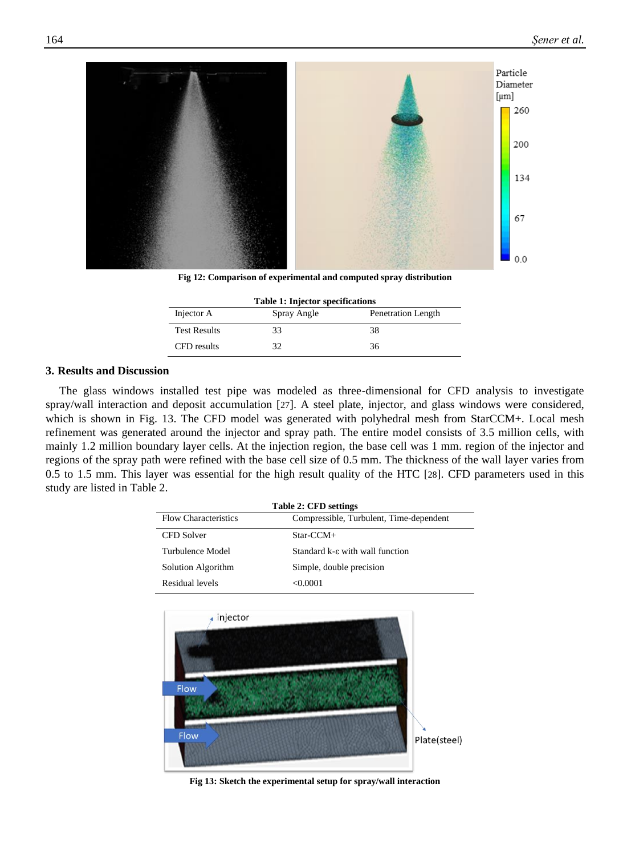

**Fig 12: Comparison of experimental and computed spray distribution**

| <b>Table 1: Injector specifications</b> |             |                    |
|-----------------------------------------|-------------|--------------------|
| Injector A                              | Spray Angle | Penetration Length |
| <b>Test Results</b>                     | 33          | 38                 |
| CFD results                             | 32          | 36                 |

#### **3. Results and Discussion**

The glass windows installed test pipe was modeled as three-dimensional for CFD analysis to investigate spray/wall interaction and deposit accumulation [[27](#page-11-11)]. A steel plate, injector, and glass windows were considered, which is shown in Fig. 13. The CFD model was generated with polyhedral mesh from StarCCM+. Local mesh refinement was generated around the injector and spray path. The entire model consists of 3.5 million cells, with mainly 1.2 million boundary layer cells. At the injection region, the base cell was 1 mm. region of the injector and regions of the spray path were refined with the base cell size of 0.5 mm. The thickness of the wall layer varies from 0.5 to 1.5 mm. This layer was essential for the high result quality of the HTC [[28](#page-11-12)]. CFD parameters used in this study are listed in Table 2.

| <b>Table 2: CFD settings</b> |                                         |  |
|------------------------------|-----------------------------------------|--|
| <b>Flow Characteristics</b>  | Compressible, Turbulent, Time-dependent |  |
| CFD Solver                   | $Star-CCM+$                             |  |
| Turbulence Model             | Standard k-ε with wall function         |  |
| Solution Algorithm           | Simple, double precision                |  |
| Residual levels              | <0.0001                                 |  |



**Fig 13: Sketch the experimental setup for spray/wall interaction**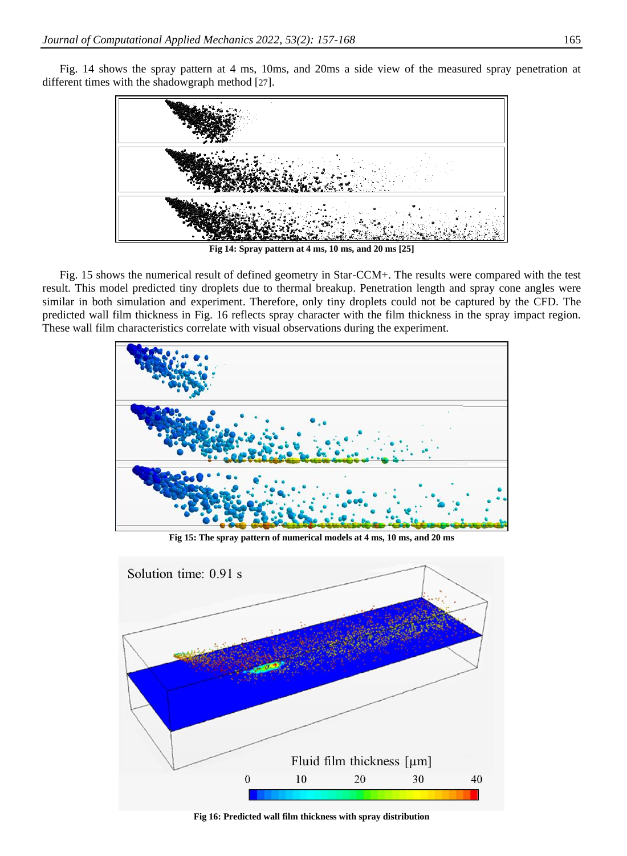Fig. 14 shows the spray pattern at 4 ms, 10ms, and 20ms a side view of the measured spray penetration at different times with the shadowgraph method [[27](#page-11-11)].



**Fig 14: Spray pattern at 4 ms, 10 ms, and 20 ms [25]**

Fig. 15 shows the numerical result of defined geometry in Star-CCM+. The results were compared with the test result. This model predicted tiny droplets due to thermal breakup. Penetration length and spray cone angles were similar in both simulation and experiment. Therefore, only tiny droplets could not be captured by the CFD. The predicted wall film thickness in Fig. 16 reflects spray character with the film thickness in the spray impact region. These wall film characteristics correlate with visual observations during the experiment.



**Fig 15: The spray pattern of numerical models at 4 ms, 10 ms, and 20 ms**



**Fig 16: Predicted wall film thickness with spray distribution**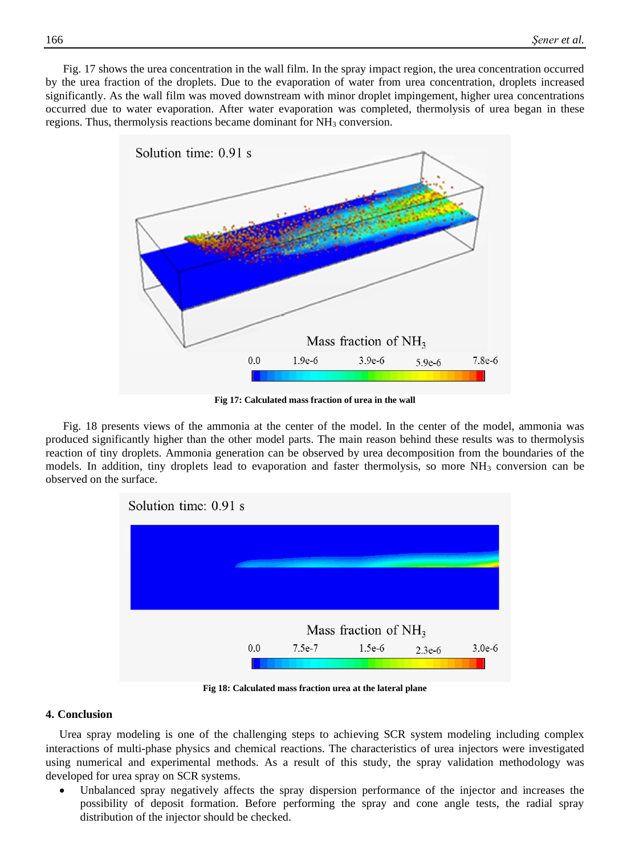Fig. 17 shows the urea concentration in the wall film. In the spray impact region, the urea concentration occurred by the urea fraction of the droplets. Due to the evaporation of water from urea concentration, droplets increased significantly. As the wall film was moved downstream with minor droplet impingement, higher urea concentrations occurred due to water evaporation. After water evaporation was completed, thermolysis of urea began in these regions. Thus, thermolysis reactions became dominant for NH<sub>3</sub> conversion.



**Fig 17: Calculated mass fraction of urea in the wall**

Fig. 18 presents views of the ammonia at the center of the model. In the center of the model, ammonia was produced significantly higher than the other model parts. The main reason behind these results was to thermolysis reaction of tiny droplets. Ammonia generation can be observed by urea decomposition from the boundaries of the models. In addition, tiny droplets lead to evaporation and faster thermolysis, so more  $NH_3$  conversion can be observed on the surface.



**Fig 18: Calculated mass fraction urea at the lateral plane**

## **4. Conclusion**

Urea spray modeling is one of the challenging steps to achieving SCR system modeling including complex interactions of multi-phase physics and chemical reactions. The characteristics of urea injectors were investigated using numerical and experimental methods. As a result of this study, the spray validation methodology was developed for urea spray on SCR systems.

Unbalanced spray negatively affects the spray dispersion performance of the injector and increases the possibility of deposit formation. Before performing the spray and cone angle tests, the radial spray distribution of the injector should be checked.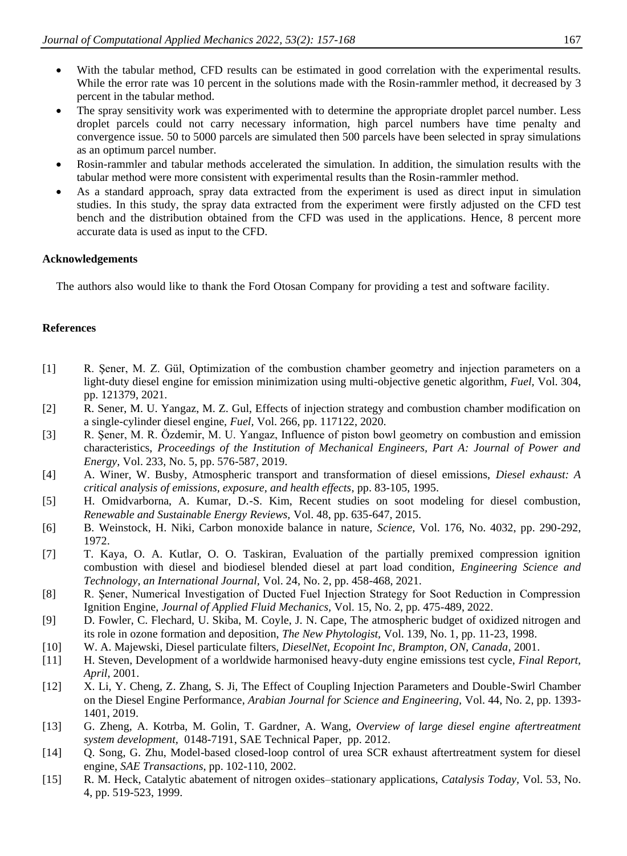- With the tabular method, CFD results can be estimated in good correlation with the experimental results. While the error rate was 10 percent in the solutions made with the Rosin-rammler method, it decreased by 3 percent in the tabular method.
- The spray sensitivity work was experimented with to determine the appropriate droplet parcel number. Less droplet parcels could not carry necessary information, high parcel numbers have time penalty and convergence issue. 50 to 5000 parcels are simulated then 500 parcels have been selected in spray simulations as an optimum parcel number.
- Rosin-rammler and tabular methods accelerated the simulation. In addition, the simulation results with the tabular method were more consistent with experimental results than the Rosin-rammler method.
- As a standard approach, spray data extracted from the experiment is used as direct input in simulation studies. In this study, the spray data extracted from the experiment were firstly adjusted on the CFD test bench and the distribution obtained from the CFD was used in the applications. Hence, 8 percent more accurate data is used as input to the CFD.

## **Acknowledgements**

The authors also would like to thank the Ford Otosan Company for providing a test and software facility.

## **References**

- <span id="page-10-0"></span>[1] R. Şener, M. Z. Gül, Optimization of the combustion chamber geometry and injection parameters on a light-duty diesel engine for emission minimization using multi-objective genetic algorithm, *Fuel,* Vol. 304, pp. 121379, 2021.
- <span id="page-10-1"></span>[2] R. Sener, M. U. Yangaz, M. Z. Gul, Effects of injection strategy and combustion chamber modification on a single-cylinder diesel engine, *Fuel,* Vol. 266, pp. 117122, 2020.
- <span id="page-10-2"></span>[3] R. Şener, M. R. Özdemir, M. U. Yangaz, Influence of piston bowl geometry on combustion and emission characteristics, *Proceedings of the Institution of Mechanical Engineers, Part A: Journal of Power and Energy,* Vol. 233, No. 5, pp. 576-587, 2019.
- <span id="page-10-3"></span>[4] A. Winer, W. Busby, Atmospheric transport and transformation of diesel emissions, *Diesel exhaust: A critical analysis of emissions, exposure, and health effects*, pp. 83-105, 1995.
- <span id="page-10-4"></span>[5] H. Omidvarborna, A. Kumar, D.-S. Kim, Recent studies on soot modeling for diesel combustion, *Renewable and Sustainable Energy Reviews,* Vol. 48, pp. 635-647, 2015.
- <span id="page-10-5"></span>[6] B. Weinstock, H. Niki, Carbon monoxide balance in nature, *Science,* Vol. 176, No. 4032, pp. 290-292, 1972.
- <span id="page-10-6"></span>[7] T. Kaya, O. A. Kutlar, O. O. Taskiran, Evaluation of the partially premixed compression ignition combustion with diesel and biodiesel blended diesel at part load condition, *Engineering Science and Technology, an International Journal,* Vol. 24, No. 2, pp. 458-468, 2021.
- <span id="page-10-7"></span>[8] R. Şener, Numerical Investigation of Ducted Fuel Injection Strategy for Soot Reduction in Compression Ignition Engine, *Journal of Applied Fluid Mechanics,* Vol. 15, No. 2, pp. 475-489, 2022.
- <span id="page-10-8"></span>[9] D. Fowler, C. Flechard, U. Skiba, M. Coyle, J. N. Cape, The atmospheric budget of oxidized nitrogen and its role in ozone formation and deposition, *The New Phytologist,* Vol. 139, No. 1, pp. 11-23, 1998.
- <span id="page-10-9"></span>[10] W. A. Majewski, Diesel particulate filters, *DieselNet, Ecopoint Inc, Brampton, ON, Canada*, 2001.
- <span id="page-10-10"></span>[11] H. Steven, Development of a worldwide harmonised heavy-duty engine emissions test cycle, *Final Report, April*, 2001.
- <span id="page-10-11"></span>[12] X. Li, Y. Cheng, Z. Zhang, S. Ji, The Effect of Coupling Injection Parameters and Double-Swirl Chamber on the Diesel Engine Performance, *Arabian Journal for Science and Engineering,* Vol. 44, No. 2, pp. 1393- 1401, 2019.
- <span id="page-10-12"></span>[13] G. Zheng, A. Kotrba, M. Golin, T. Gardner, A. Wang, *Overview of large diesel engine aftertreatment system development,* 0148-7191, SAE Technical Paper, pp. 2012.
- <span id="page-10-13"></span>[14] Q. Song, G. Zhu, Model-based closed-loop control of urea SCR exhaust aftertreatment system for diesel engine, *SAE Transactions*, pp. 102-110, 2002.
- <span id="page-10-14"></span>[15] R. M. Heck, Catalytic abatement of nitrogen oxides–stationary applications, *Catalysis Today,* Vol. 53, No. 4, pp. 519-523, 1999.